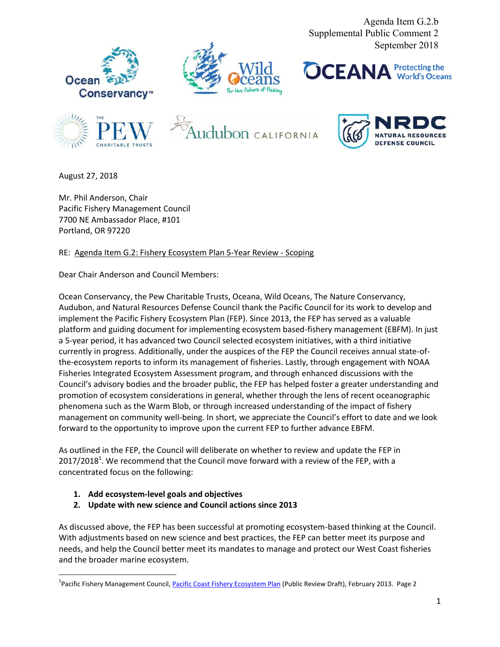Agenda Item G.2.b Supplemental Public Comment 2 September 2018













August 27, 2018

Mr. Phil Anderson, Chair Pacific Fishery Management Council 7700 NE Ambassador Place, #101 Portland, OR 97220

RE: Agenda Item G.2: Fishery Ecosystem Plan 5-Year Review - Scoping

Dear Chair Anderson and Council Members:

Ocean Conservancy, the Pew Charitable Trusts, Oceana, Wild Oceans, The Nature Conservancy, Audubon, and Natural Resources Defense Council thank the Pacific Council for its work to develop and implement the Pacific Fishery Ecosystem Plan (FEP). Since 2013, the FEP has served as a valuable platform and guiding document for implementing ecosystem based-fishery management (EBFM). In just a 5-year period, it has advanced two Council selected ecosystem initiatives, with a third initiative currently in progress. Additionally, under the auspices of the FEP the Council receives annual state-ofthe-ecosystem reports to inform its management of fisheries. Lastly, through engagement with NOAA Fisheries Integrated Ecosystem Assessment program, and through enhanced discussions with the Council's advisory bodies and the broader public, the FEP has helped foster a greater understanding and promotion of ecosystem considerations in general, whether through the lens of recent oceanographic phenomena such as the Warm Blob, or through increased understanding of the impact of fishery management on community well-being. In short, we appreciate the Council's effort to date and we look forward to the opportunity to improve upon the current FEP to further advance EBFM.

As outlined in the FEP, the Council will deliberate on whether to review and update the FEP in 2017/2018<sup>1</sup>. We recommend that the Council move forward with a review of the FEP, with a concentrated focus on the following:

- **1. Add ecosystem-level goals and objectives**
- **2. Update with new science and Council actions since 2013**

As discussed above, the FEP has been successful at promoting ecosystem-based thinking at the Council. With adjustments based on new science and best practices, the FEP can better meet its purpose and needs, and help the Council better meet its mandates to manage and protect our West Coast fisheries and the broader marine ecosystem.

<sup>&</sup>lt;sup>1</sup>Pacific Fishery Management Council, <u>Pacific Coast Fishery Ecosystem Plan</u> (Public Review Draft), February 2013. Page 2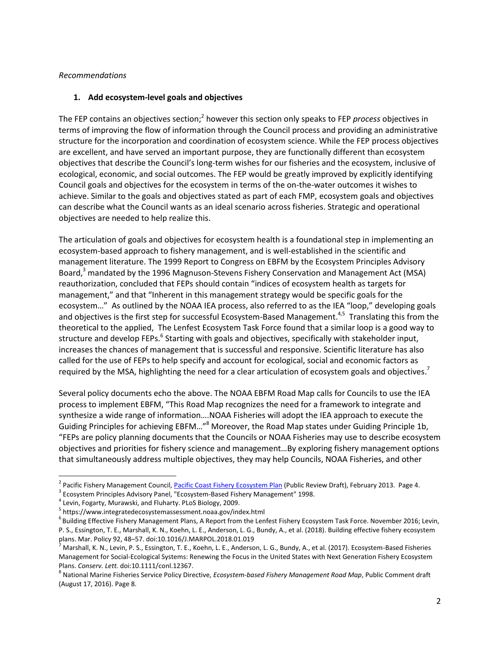### *Recommendations*

## **1. Add ecosystem-level goals and objectives**

The FEP contains an objectives section;<sup>2</sup> however this section only speaks to FEP *process* objectives in terms of improving the flow of information through the Council process and providing an administrative structure for the incorporation and coordination of ecosystem science. While the FEP process objectives are excellent, and have served an important purpose, they are functionally different than ecosystem objectives that describe the Council's long-term wishes for our fisheries and the ecosystem, inclusive of ecological, economic, and social outcomes. The FEP would be greatly improved by explicitly identifying Council goals and objectives for the ecosystem in terms of the on-the-water outcomes it wishes to achieve. Similar to the goals and objectives stated as part of each FMP, ecosystem goals and objectives can describe what the Council wants as an ideal scenario across fisheries. Strategic and operational objectives are needed to help realize this.

The articulation of goals and objectives for ecosystem health is a foundational step in implementing an ecosystem-based approach to fishery management, and is well-established in the scientific and management literature. The 1999 Report to Congress on EBFM by the Ecosystem Principles Advisory Board,<sup>3</sup> mandated by the 1996 Magnuson-Stevens Fishery Conservation and Management Act (MSA) reauthorization, concluded that FEPs should contain "indices of ecosystem health as targets for management," and that "Inherent in this management strategy would be specific goals for the ecosystem…" As outlined by the NOAA IEA process, also referred to as the IEA "loop," developing goals and objectives is the first step for successful Ecosystem-Based Management.<sup>4,5</sup> Translating this from the theoretical to the applied, The Lenfest Ecosystem Task Force found that a similar loop is a good way to structure and develop FEPs.<sup>6</sup> Starting with goals and objectives, specifically with stakeholder input, increases the chances of management that is successful and responsive. Scientific literature has also called for the use of FEPs to help specify and account for ecological, social and economic factors as required by the MSA, highlighting the need for a clear articulation of ecosystem goals and objectives.<sup>7</sup>

Several policy documents echo the above. The NOAA EBFM Road Map calls for Councils to use the IEA process to implement EBFM, "This Road Map recognizes the need for a framework to integrate and synthesize a wide range of information….NOAA Fisheries will adopt the IEA approach to execute the Guiding Principles for achieving EBFM…"<sup>8</sup> Moreover, the Road Map states under Guiding Principle 1b, "FEPs are policy planning documents that the Councils or NOAA Fisheries may use to describe ecosystem objectives and priorities for fishery science and management…By exploring fishery management options that simultaneously address multiple objectives, they may help Councils, NOAA Fisheries, and other

 $\overline{\phantom{a}}$ 

<sup>&</sup>lt;sup>2</sup> Pacific Fishery Management Council, <u>Pacific Coast Fishery Ecosystem Plan</u> (Public Review Draft), February 2013. Page 4.

 $^3$  Ecosystem Principles Advisory Panel, "Ecosystem-Based Fishery Management" 1998.

<sup>&</sup>lt;sup>4</sup> Levin, Fogarty, Murawski, and Fluharty. PLoS Biology, 2009.

<sup>&</sup>lt;sup>5</sup> https://www.integratedecosystemassessment.noaa.gov/index.html

<sup>&</sup>lt;sup>6</sup> Building Effective Fishery Management Plans, A Report from the Lenfest Fishery Ecosystem Task Force. November 2016; Levin, P. S., Essington, T. E., Marshall, K. N., Koehn, L. E., Anderson, L. G., Bundy, A., et al. (2018). Building effective fishery ecosystem plans. Mar. Policy 92, 48–57. doi:10.1016/J.MARPOL.2018.01.019

<sup>7</sup> Marshall, K. N., Levin, P. S., Essington, T. E., Koehn, L. E., Anderson, L. G., Bundy, A., et al. (2017). Ecosystem-Based Fisheries Management for Social-Ecological Systems: Renewing the Focus in the United States with Next Generation Fishery Ecosystem Plans. *Conserv. Lett.* doi:10.1111/conl.12367.

<sup>8</sup> National Marine Fisheries Service Policy Directive, *Ecosystem-based Fishery Management Road Map*, Public Comment draft (August 17, 2016). Page 8.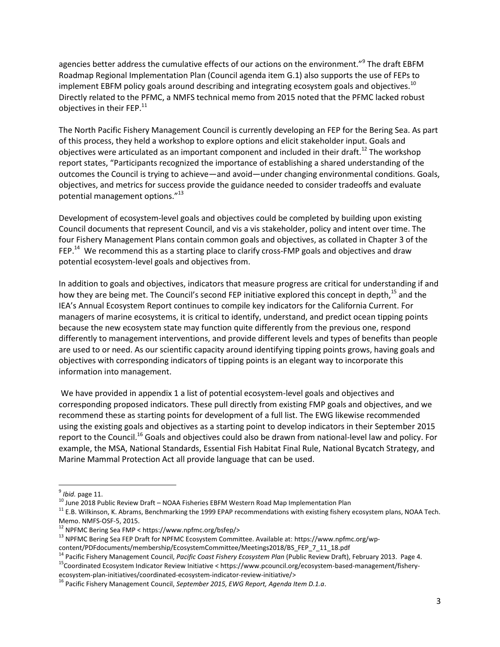agencies better address the cumulative effects of our actions on the environment."<sup>9</sup> The draft EBFM Roadmap Regional Implementation Plan (Council agenda item G.1) also supports the use of FEPs to implement EBFM policy goals around describing and integrating ecosystem goals and objectives.<sup>10</sup> Directly related to the PFMC, a NMFS technical memo from 2015 noted that the PFMC lacked robust objectives in their FEP. $^{11}$ 

The North Pacific Fishery Management Council is currently developing an FEP for the Bering Sea. As part of this process, they held a workshop to explore options and elicit stakeholder input. Goals and objectives were articulated as an important component and included in their draft.<sup>12</sup> The workshop report states, "Participants recognized the importance of establishing a shared understanding of the outcomes the Council is trying to achieve—and avoid—under changing environmental conditions. Goals, objectives, and metrics for success provide the guidance needed to consider tradeoffs and evaluate potential management options." 13

Development of ecosystem-level goals and objectives could be completed by building upon existing Council documents that represent Council, and vis a vis stakeholder, policy and intent over time. The four Fishery Management Plans contain common goals and objectives, as collated in Chapter 3 of the FEP.<sup>14</sup> We recommend this as a starting place to clarify cross-FMP goals and objectives and draw potential ecosystem-level goals and objectives from.

In addition to goals and objectives, indicators that measure progress are critical for understanding if and how they are being met. The Council's second FEP initiative explored this concept in depth,<sup>15</sup> and the IEA's Annual Ecosystem Report continues to compile key indicators for the California Current. For managers of marine ecosystems, it is critical to identify, understand, and predict ocean tipping points because the new ecosystem state may function quite differently from the previous one, respond differently to management interventions, and provide different levels and types of benefits than people are used to or need. As our scientific capacity around identifying tipping points grows, having goals and objectives with corresponding indicators of tipping points is an elegant way to incorporate this information into management.

We have provided in appendix 1 a list of potential ecosystem-level goals and objectives and corresponding proposed indicators. These pull directly from existing FMP goals and objectives, and we recommend these as starting points for development of a full list. The EWG likewise recommended using the existing goals and objectives as a starting point to develop indicators in their September 2015 report to the Council.<sup>16</sup> Goals and objectives could also be drawn from national-level law and policy. For example, the MSA, National Standards, Essential Fish Habitat Final Rule, National Bycatch Strategy, and Marine Mammal Protection Act all provide language that can be used.

<sup>15</sup>Coordinated Ecosystem Indicator Review Initiative < https://www.pcouncil.org/ecosystem-based-management/fisheryecosystem-plan-initiatives/coordinated-ecosystem-indicator-review-initiative/>

 9 *Ibid.* page 11.

 $10$  June 2018 Public Review Draft – NOAA Fisheries EBFM Western Road Map Implementation Plan

<sup>&</sup>lt;sup>11</sup> E.B. Wilkinson, K. Abrams, Benchmarking the 1999 EPAP recommendations with existing fishery ecosystem plans, NOAA Tech. Memo. NMFS-OSF-5, 2015.

<sup>12</sup> NPFMC Bering Sea FMP < https://www.npfmc.org/bsfep/>

<sup>&</sup>lt;sup>13</sup> NPFMC Bering Sea FEP Draft for NPFMC Ecosystem Committee. Available at: https://www.npfmc.org/wpcontent/PDFdocuments/membership/EcosystemCommittee/Meetings2018/BS\_FEP\_7\_11\_18.pdf

<sup>14</sup> Pacific Fishery Management Council, *Pacific Coast Fishery Ecosystem Plan* (Public Review Draft), February 2013. Page 4.

<sup>16</sup> Pacific Fishery Management Council, *September 2015, EWG Report, Agenda Item D.1.a*.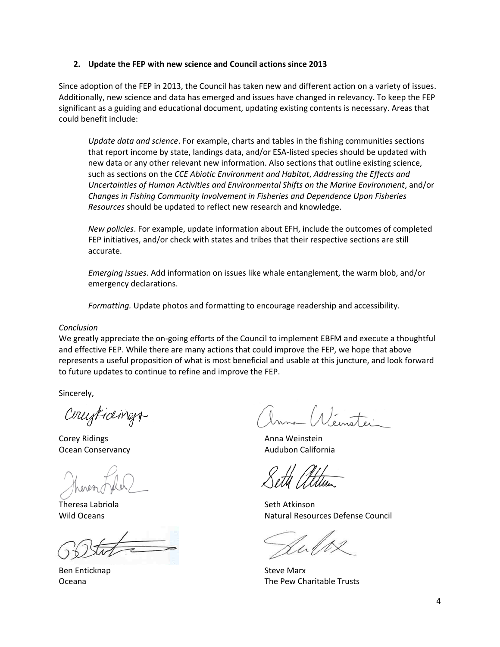### **2. Update the FEP with new science and Council actions since 2013**

Since adoption of the FEP in 2013, the Council has taken new and different action on a variety of issues. Additionally, new science and data has emerged and issues have changed in relevancy. To keep the FEP significant as a guiding and educational document, updating existing contents is necessary. Areas that could benefit include:

*Update data and science*. For example, charts and tables in the fishing communities sections that report income by state, landings data, and/or ESA-listed species should be updated with new data or any other relevant new information. Also sections that outline existing science, such as sections on the *CCE Abiotic Environment and Habitat*, *Addressing the Effects and Uncertainties of Human Activities and Environmental Shifts on the Marine Environment*, and/or *Changes in Fishing Community Involvement in Fisheries and Dependence Upon Fisheries Resources* should be updated to reflect new research and knowledge.

*New policies*. For example, update information about EFH, include the outcomes of completed FEP initiatives, and/or check with states and tribes that their respective sections are still accurate.

*Emerging issues*. Add information on issues like whale entanglement, the warm blob, and/or emergency declarations.

*Formatting.* Update photos and formatting to encourage readership and accessibility.

#### *Conclusion*

We greatly appreciate the on-going efforts of the Council to implement EBFM and execute a thoughtful and effective FEP. While there are many actions that could improve the FEP, we hope that above represents a useful proposition of what is most beneficial and usable at this juncture, and look forward to future updates to continue to refine and improve the FEP.

Sincerely,

Countings

Corey Ridings **Anna Weinstein Anna Weinstein** Ocean Conservancy **Audubon California Audubon California** 

Theresa Labriola **Seth Atkinson** Seth Atkinson

Ben Enticknap Steve Marx

Wild Oceans Natural Resources Defense Council

Oceana The Pew Charitable Trusts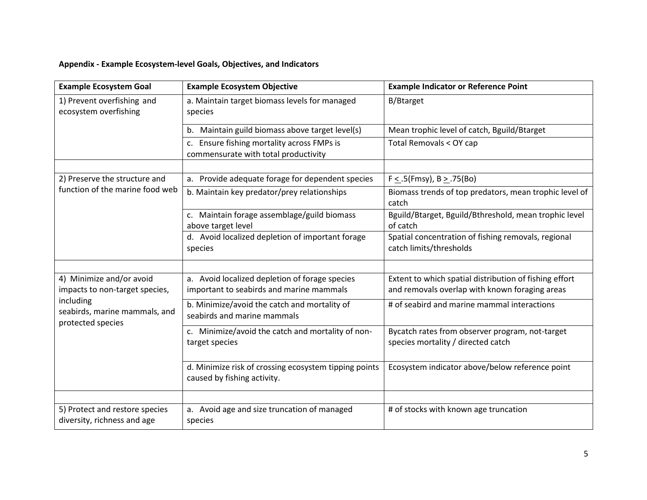# **Appendix - Example Ecosystem-level Goals, Objectives, and Indicators**

| <b>Example Ecosystem Goal</b>                                                                                                 | <b>Example Ecosystem Objective</b>                                                   | <b>Example Indicator or Reference Point</b>                                           |
|-------------------------------------------------------------------------------------------------------------------------------|--------------------------------------------------------------------------------------|---------------------------------------------------------------------------------------|
| 1) Prevent overfishing and<br>ecosystem overfishing                                                                           | a. Maintain target biomass levels for managed<br>species                             | B/Btarget                                                                             |
|                                                                                                                               | b. Maintain guild biomass above target level(s)                                      | Mean trophic level of catch, Bguild/Btarget                                           |
|                                                                                                                               | c. Ensure fishing mortality across FMPs is<br>commensurate with total productivity   | Total Removals < OY cap                                                               |
|                                                                                                                               |                                                                                      |                                                                                       |
| 2) Preserve the structure and<br>function of the marine food web                                                              | a. Provide adequate forage for dependent species                                     | $F < .5$ (Fmsy), B > .75(Bo)                                                          |
|                                                                                                                               | b. Maintain key predator/prey relationships                                          | Biomass trends of top predators, mean trophic level of<br>catch                       |
|                                                                                                                               | c. Maintain forage assemblage/guild biomass<br>above target level                    | Bguild/Btarget, Bguild/Bthreshold, mean trophic level<br>of catch                     |
|                                                                                                                               | d. Avoid localized depletion of important forage                                     | Spatial concentration of fishing removals, regional                                   |
|                                                                                                                               | species                                                                              | catch limits/thresholds                                                               |
|                                                                                                                               |                                                                                      |                                                                                       |
| 4) Minimize and/or avoid<br>impacts to non-target species,<br>including<br>seabirds, marine mammals, and<br>protected species | a. Avoid localized depletion of forage species                                       | Extent to which spatial distribution of fishing effort                                |
|                                                                                                                               | important to seabirds and marine mammals                                             | and removals overlap with known foraging areas                                        |
|                                                                                                                               | b. Minimize/avoid the catch and mortality of<br>seabirds and marine mammals          | # of seabird and marine mammal interactions                                           |
|                                                                                                                               | c. Minimize/avoid the catch and mortality of non-<br>target species                  | Bycatch rates from observer program, not-target<br>species mortality / directed catch |
|                                                                                                                               | d. Minimize risk of crossing ecosystem tipping points<br>caused by fishing activity. | Ecosystem indicator above/below reference point                                       |
|                                                                                                                               |                                                                                      |                                                                                       |
| 5) Protect and restore species<br>diversity, richness and age                                                                 | a. Avoid age and size truncation of managed<br>species                               | # of stocks with known age truncation                                                 |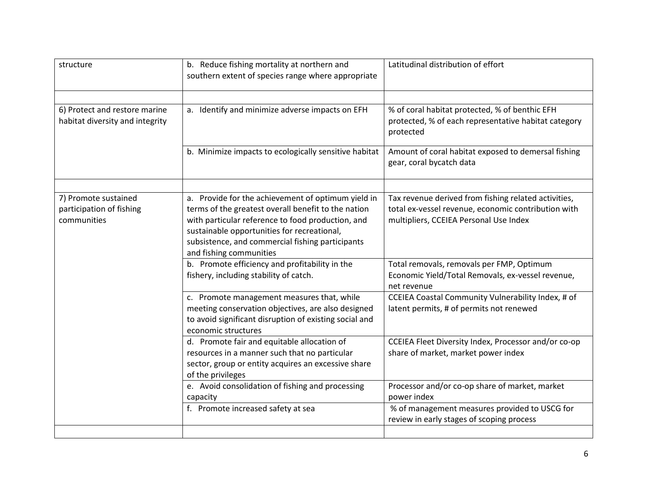| structure                                                        | b. Reduce fishing mortality at northern and<br>southern extent of species range where appropriate                                                                                                                                                                                            | Latitudinal distribution of effort                                                                                                                    |
|------------------------------------------------------------------|----------------------------------------------------------------------------------------------------------------------------------------------------------------------------------------------------------------------------------------------------------------------------------------------|-------------------------------------------------------------------------------------------------------------------------------------------------------|
| 6) Protect and restore marine<br>habitat diversity and integrity | a. Identify and minimize adverse impacts on EFH                                                                                                                                                                                                                                              | % of coral habitat protected, % of benthic EFH<br>protected, % of each representative habitat category<br>protected                                   |
|                                                                  | b. Minimize impacts to ecologically sensitive habitat                                                                                                                                                                                                                                        | Amount of coral habitat exposed to demersal fishing<br>gear, coral bycatch data                                                                       |
| 7) Promote sustained<br>participation of fishing<br>communities  | a. Provide for the achievement of optimum yield in<br>terms of the greatest overall benefit to the nation<br>with particular reference to food production, and<br>sustainable opportunities for recreational,<br>subsistence, and commercial fishing participants<br>and fishing communities | Tax revenue derived from fishing related activities,<br>total ex-vessel revenue, economic contribution with<br>multipliers, CCEIEA Personal Use Index |
|                                                                  | b. Promote efficiency and profitability in the<br>fishery, including stability of catch.                                                                                                                                                                                                     | Total removals, removals per FMP, Optimum<br>Economic Yield/Total Removals, ex-vessel revenue,<br>net revenue                                         |
|                                                                  | c. Promote management measures that, while<br>meeting conservation objectives, are also designed<br>to avoid significant disruption of existing social and<br>economic structures                                                                                                            | CCEIEA Coastal Community Vulnerability Index, # of<br>latent permits, # of permits not renewed                                                        |
|                                                                  | d. Promote fair and equitable allocation of<br>resources in a manner such that no particular<br>sector, group or entity acquires an excessive share<br>of the privileges                                                                                                                     | CCEIEA Fleet Diversity Index, Processor and/or co-op<br>share of market, market power index                                                           |
|                                                                  | e. Avoid consolidation of fishing and processing<br>capacity                                                                                                                                                                                                                                 | Processor and/or co-op share of market, market<br>power index                                                                                         |
|                                                                  | f. Promote increased safety at sea                                                                                                                                                                                                                                                           | % of management measures provided to USCG for<br>review in early stages of scoping process                                                            |
|                                                                  |                                                                                                                                                                                                                                                                                              |                                                                                                                                                       |